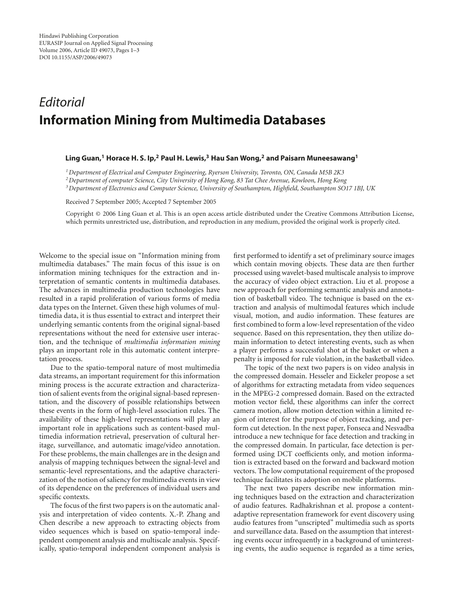## *Editorial* **Information Mining from Multimedia Databases**

## **Ling Guan,1 Horace H. S. Ip,2 Paul H. Lewis,3 Hau San Wong,2 and Paisarn Muneesawang1**

*1Department of Electrical and Computer Engineering, Ryerson University, Toronto, ON, Canada M5B 2K3*

*2Department of computer Science, City University of Hong Kong, 83 Tat Chee Avenue, Kowloon, Hong Kong*

*3Department of Electronics and Computer Science, University of Southampton, Highfield, Southampton SO17 1BJ, UK*

Received 7 September 2005; Accepted 7 September 2005

Copyright © 2006 Ling Guan et al. This is an open access article distributed under the Creative Commons Attribution License, which permits unrestricted use, distribution, and reproduction in any medium, provided the original work is properly cited.

Welcome to the special issue on "Information mining from multimedia databases." The main focus of this issue is on information mining techniques for the extraction and interpretation of semantic contents in multimedia databases. The advances in multimedia production technologies have resulted in a rapid proliferation of various forms of media data types on the Internet. Given these high volumes of multimedia data, it is thus essential to extract and interpret their underlying semantic contents from the original signal-based representations without the need for extensive user interaction, and the technique of *multimedia information mining* plays an important role in this automatic content interpretation process.

Due to the spatio-temporal nature of most multimedia data streams, an important requirement for this information mining process is the accurate extraction and characterization of salient events from the original signal-based representation, and the discovery of possible relationships between these events in the form of high-level association rules. The availability of these high-level representations will play an important role in applications such as content-based multimedia information retrieval, preservation of cultural heritage, surveillance, and automatic image/video annotation. For these problems, the main challenges are in the design and analysis of mapping techniques between the signal-level and semantic-level representations, and the adaptive characterization of the notion of saliency for multimedia events in view of its dependence on the preferences of individual users and specific contexts.

The focus of the first two papers is on the automatic analysis and interpretation of video contents. X.-P. Zhang and Chen describe a new approach to extracting objects from video sequences which is based on spatio-temporal independent component analysis and multiscale analysis. Specifically, spatio-temporal independent component analysis is

first performed to identify a set of preliminary source images which contain moving objects. These data are then further processed using wavelet-based multiscale analysis to improve the accuracy of video object extraction. Liu et al. propose a new approach for performing semantic analysis and annotation of basketball video. The technique is based on the extraction and analysis of multimodal features which include visual, motion, and audio information. These features are first combined to form a low-level representation of the video sequence. Based on this representation, they then utilize domain information to detect interesting events, such as when a player performs a successful shot at the basket or when a penalty is imposed for rule violation, in the basketball video.

The topic of the next two papers is on video analysis in the compressed domain. Hesseler and Eickeler propose a set of algorithms for extracting metadata from video sequences in the MPEG-2 compressed domain. Based on the extracted motion vector field, these algorithms can infer the correct camera motion, allow motion detection within a limited region of interest for the purpose of object tracking, and perform cut detection. In the next paper, Fonseca and Nesvadba introduce a new technique for face detection and tracking in the compressed domain. In particular, face detection is performed using DCT coefficients only, and motion information is extracted based on the forward and backward motion vectors. The low computational requirement of the proposed technique facilitates its adoption on mobile platforms.

The next two papers describe new information mining techniques based on the extraction and characterization of audio features. Radhakrishnan et al. propose a contentadaptive representation framework for event discovery using audio features from "unscripted" multimedia such as sports and surveillance data. Based on the assumption that interesting events occur infrequently in a background of uninteresting events, the audio sequence is regarded as a time series,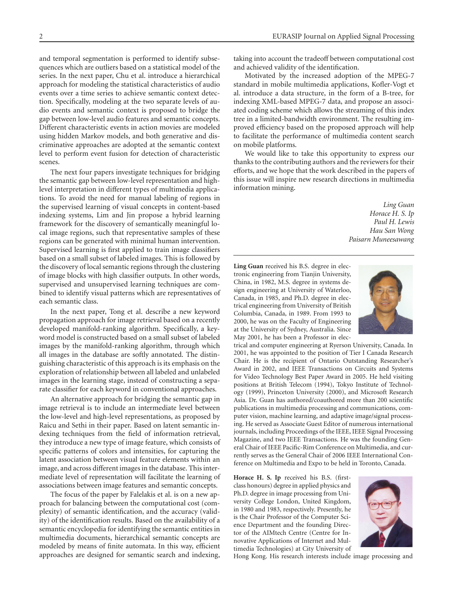and temporal segmentation is performed to identify subsequences which are outliers based on a statistical model of the series. In the next paper, Chu et al. introduce a hierarchical approach for modeling the statistical characteristics of audio events over a time series to achieve semantic context detection. Specifically, modeling at the two separate levels of audio events and semantic context is proposed to bridge the gap between low-level audio features and semantic concepts. Different characteristic events in action movies are modeled using hidden Markov models, and both generative and discriminative approaches are adopted at the semantic context level to perform event fusion for detection of characteristic scenes.

The next four papers investigate techniques for bridging the semantic gap between low-level representation and highlevel interpretation in different types of multimedia applications. To avoid the need for manual labeling of regions in the supervised learning of visual concepts in content-based indexing systems, Lim and Jin propose a hybrid learning framework for the discovery of semantically meaningful local image regions, such that representative samples of these regions can be generated with minimal human intervention. Supervised learning is first applied to train image classifiers based on a small subset of labeled images. This is followed by the discovery of local semantic regions through the clustering of image blocks with high classifier outputs. In other words, supervised and unsupervised learning techniques are combined to identify visual patterns which are representatives of each semantic class.

In the next paper, Tong et al. describe a new keyword propagation approach for image retrieval based on a recently developed manifold-ranking algorithm. Specifically, a keyword model is constructed based on a small subset of labeled images by the manifold-ranking algorithm, through which all images in the database are softly annotated. The distinguishing characteristic of this approach is its emphasis on the exploration of relationship between all labeled and unlabeled images in the learning stage, instead of constructing a separate classifier for each keyword in conventional approaches.

An alternative approach for bridging the semantic gap in image retrieval is to include an intermediate level between the low-level and high-level representations, as proposed by Raicu and Sethi in their paper. Based on latent semantic indexing techniques from the field of information retrieval, they introduce a new type of image feature, which consists of specific patterns of colors and intensities, for capturing the latent association between visual feature elements within an image, and across different images in the database. This intermediate level of representation will facilitate the learning of associations between image features and semantic concepts.

The focus of the paper by Falelakis et al. is on a new approach for balancing between the computational cost (complexity) of semantic identification, and the accuracy (validity) of the identification results. Based on the availability of a semantic encyclopedia for identifying the semantic entities in multimedia documents, hierarchical semantic concepts are modeled by means of finite automata. In this way, efficient approaches are designed for semantic search and indexing,

taking into account the tradeoff between computational cost and achieved validity of the identification.

Motivated by the increased adoption of the MPEG-7 standard in mobile multimedia applications, Kofler-Vogt et al. introduce a data structure, in the form of a B-tree, for indexing XML-based MPEG-7 data, and propose an associated coding scheme which allows the streaming of this index tree in a limited-bandwidth environment. The resulting improved efficiency based on the proposed approach will help to facilitate the performance of multimedia content search on mobile platforms.

We would like to take this opportunity to express our thanks to the contributing authors and the reviewers for their efforts, and we hope that the work described in the papers of this issue will inspire new research directions in multimedia information mining.

> *Ling Guan Horace H. S. Ip Paul H. Lewis Hau San Wong Paisarn Muneesawang*

**Ling Guan** received his B.S. degree in electronic engineering from Tianjin University, China, in 1982, M.S. degree in systems design engineering at University of Waterloo, Canada, in 1985, and Ph.D. degree in electrical engineering from University of British Columbia, Canada, in 1989. From 1993 to 2000, he was on the Faculty of Engineering at the University of Sydney, Australia. Since May 2001, he has been a Professor in elec-



trical and computer engineering at Ryerson University, Canada. In 2001, he was appointed to the position of Tier I Canada Research Chair. He is the recipient of Ontario Outstanding Researcher's Award in 2002, and IEEE Transactions on Circuits and Systems for Video Technology Best Paper Award in 2005. He held visiting positions at British Telecom (1994), Tokyo Institute of Technology (1999), Princeton University (2000), and Microsoft Research Asia. Dr. Guan has authored/coauthored more than 200 scientific publications in multimedia processing and communications, computer vision, machine learning, and adaptive image/signal processing. He served as Associate Guest Editor of numerous international journals, including Proceedings of the IEEE, IEEE Signal Processing Magazine, and two IEEE Transactions. He was the founding General Chair of IEEE Pacific-Rim Conference on Multimedia, and currently serves as the General Chair of 2006 IEEE International Conference on Multimedia and Expo to be held in Toronto, Canada.

**Horace H. S. Ip** received his B.S. (firstclass honours) degree in applied physics and Ph.D. degree in image processing from University College London, United Kingdom, in 1980 and 1983, respectively. Presently, he is the Chair Professor of the Computer Science Department and the founding Director of the AIMtech Centre (Centre for Innovative Applications of Internet and Multimedia Technologies) at City University of



Hong Kong. His research interests include image processing and